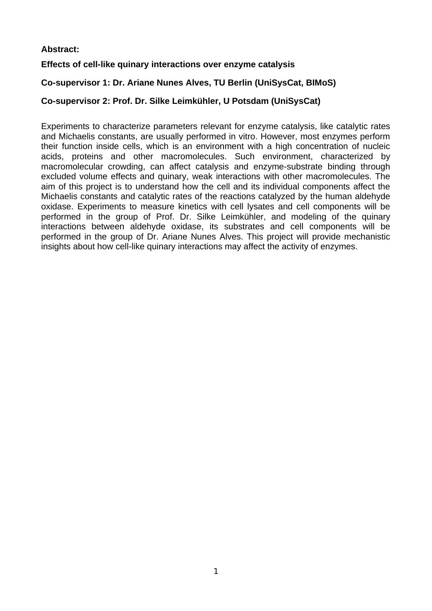# **Abstract:**

# **Effects of cell-like quinary interactions over enzyme catalysis**

# **Co-supervisor 1: Dr. Ariane Nunes Alves, TU Berlin (UniSysCat, BIMoS)**

# **Co-supervisor 2: Prof. Dr. Silke Leimkühler, U Potsdam (UniSysCat)**

Experiments to characterize parameters relevant for enzyme catalysis, like catalytic rates and Michaelis constants, are usually performed in vitro. However, most enzymes perform their function inside cells, which is an environment with a high concentration of nucleic acids, proteins and other macromolecules. Such environment, characterized by macromolecular crowding, can affect catalysis and enzyme-substrate binding through excluded volume effects and quinary, weak interactions with other macromolecules. The aim of this project is to understand how the cell and its individual components affect the Michaelis constants and catalytic rates of the reactions catalyzed by the human aldehyde oxidase. Experiments to measure kinetics with cell lysates and cell components will be performed in the group of Prof. Dr. Silke Leimkühler, and modeling of the quinary interactions between aldehyde oxidase, its substrates and cell components will be performed in the group of Dr. Ariane Nunes Alves. This project will provide mechanistic insights about how cell-like quinary interactions may affect the activity of enzymes.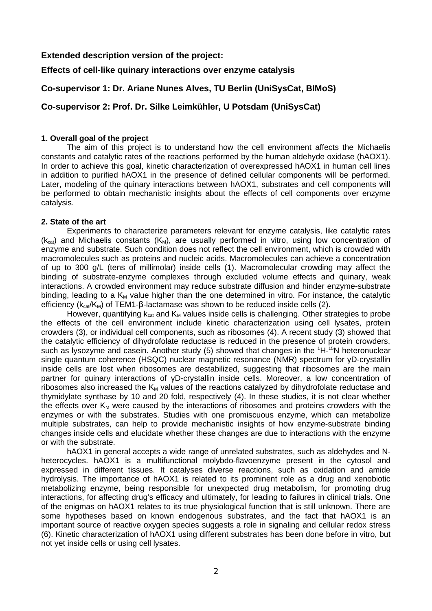### **Extended description version of the project:**

### **Effects of cell-like quinary interactions over enzyme catalysis**

## **Co-supervisor 1: Dr. Ariane Nunes Alves, TU Berlin (UniSysCat, BIMoS)**

## **Co-supervisor 2: Prof. Dr. Silke Leimkühler, U Potsdam (UniSysCat)**

### **1. Overall goal of the project**

The aim of this project is to understand how the cell environment affects the Michaelis constants and catalytic rates of the reactions performed by the human aldehyde oxidase (hAOX1). In order to achieve this goal, kinetic characterization of overexpressed hAOX1 in human cell lines in addition to purified hAOX1 in the presence of defined cellular components will be performed. Later, modeling of the quinary interactions between hAOX1, substrates and cell components will be performed to obtain mechanistic insights about the effects of cell components over enzyme catalysis.

#### **2. State of the art**

Experiments to characterize parameters relevant for enzyme catalysis, like catalytic rates  $(k_{cat})$  and Michaelis constants  $(K_M)$ , are usually performed in vitro, using low concentration of enzyme and substrate. Such condition does not reflect the cell environment, which is crowded with macromolecules such as proteins and nucleic acids. Macromolecules can achieve a concentration of up to 300 g/L (tens of millimolar) inside cells (1). Macromolecular crowding may affect the binding of substrate-enzyme complexes through excluded volume effects and quinary, weak interactions. A crowded environment may reduce substrate diffusion and hinder enzyme-substrate binding, leading to a  $K_M$  value higher than the one determined in vitro. For instance, the catalytic efficiency ( $k_{cat}/K_M$ ) of TEM1-β-lactamase was shown to be reduced inside cells (2).

However, quantifying  $k_{cat}$  and  $K_M$  values inside cells is challenging. Other strategies to probe the effects of the cell environment include kinetic characterization using cell lysates, protein crowders (3), or individual cell components, such as ribosomes (4). A recent study (3) showed that the catalytic efficiency of dihydrofolate reductase is reduced in the presence of protein crowders, such as lysozyme and casein. Another study (5) showed that changes in the  ${}^{1}H-{}^{15}N$  heteronuclear single quantum coherence (HSQC) nuclear magnetic resonance (NMR) spectrum for yD-crystallin inside cells are lost when ribosomes are destabilized, suggesting that ribosomes are the main partner for quinary interactions of γD-crystallin inside cells. Moreover, a low concentration of ribosomes also increased the  $K_M$  values of the reactions catalyzed by dihydrofolate reductase and thymidylate synthase by 10 and 20 fold, respectively (4). In these studies, it is not clear whether the effects over  $K_M$  were caused by the interactions of ribosomes and proteins crowders with the enzymes or with the substrates. Studies with one promiscuous enzyme, which can metabolize multiple substrates, can help to provide mechanistic insights of how enzyme-substrate binding changes inside cells and elucidate whether these changes are due to interactions with the enzyme or with the substrate.

hAOX1 in general accepts a wide range of unrelated substrates, such as aldehydes and Nheterocycles. hAOX1 is a multifunctional molybdo-flavoenzyme present in the cytosol and expressed in different tissues. It catalyses diverse reactions, such as oxidation and amide hydrolysis. The importance of hAOX1 is related to its prominent role as a drug and xenobiotic metabolizing enzyme, being responsible for unexpected drug metabolism, for promoting drug interactions, for affecting drug's efficacy and ultimately, for leading to failures in clinical trials. One of the enigmas on hAOX1 relates to its true physiological function that is still unknown. There are some hypotheses based on known endogenous substrates, and the fact that hAOX1 is an important source of reactive oxygen species suggests a role in signaling and cellular redox stress (6). Kinetic characterization of hAOX1 using different substrates has been done before in vitro, but not yet inside cells or using cell lysates.